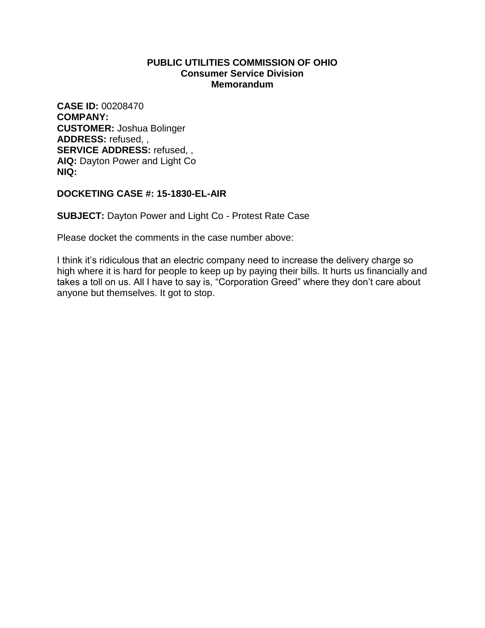**CASE ID:** 00208470 **COMPANY: CUSTOMER:** Joshua Bolinger **ADDRESS:** refused, , **SERVICE ADDRESS:** refused, , **AIQ:** Dayton Power and Light Co **NIQ:**

# **DOCKETING CASE #: 15-1830-EL-AIR**

**SUBJECT:** Dayton Power and Light Co - Protest Rate Case

Please docket the comments in the case number above:

I think it's ridiculous that an electric company need to increase the delivery charge so high where it is hard for people to keep up by paying their bills. It hurts us financially and takes a toll on us. All I have to say is, "Corporation Greed" where they don't care about anyone but themselves. It got to stop.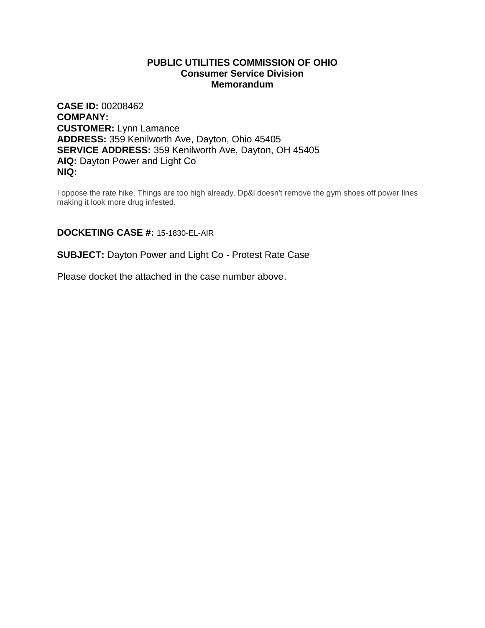**CASE ID:** 00208462 **COMPANY: CUSTOMER:** Lynn Lamance **ADDRESS:** 359 Kenilworth Ave, Dayton, Ohio 45405 **SERVICE ADDRESS:** 359 Kenilworth Ave, Dayton, OH 45405 **AIQ:** Dayton Power and Light Co **NIQ:**

I oppose the rate hike. Things are too high already. Dp&l doesn't remove the gym shoes off power lines making it look more drug infested.

# **DOCKETING CASE #:** 15-1830-EL-AIR

#### **SUBJECT:** Dayton Power and Light Co - Protest Rate Case

Please docket the attached in the case number above.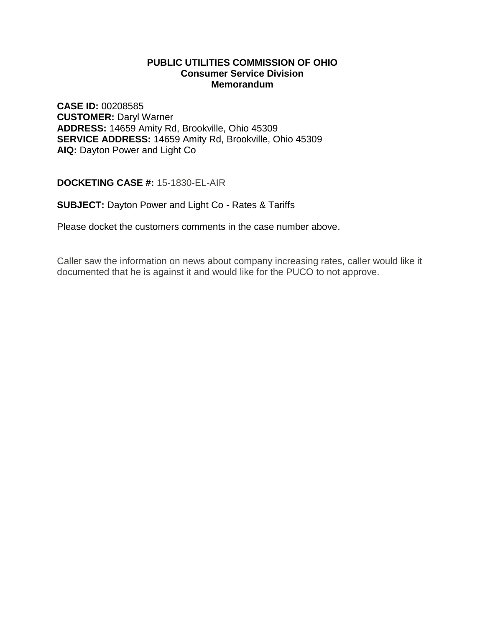**CASE ID:** 00208585 **CUSTOMER:** Daryl Warner **ADDRESS:** 14659 Amity Rd, Brookville, Ohio 45309 **SERVICE ADDRESS:** 14659 Amity Rd, Brookville, Ohio 45309 **AIQ:** Dayton Power and Light Co

**DOCKETING CASE #:** 15-1830-EL-AIR

**SUBJECT:** Dayton Power and Light Co - Rates & Tariffs

Please docket the customers comments in the case number above.

Caller saw the information on news about company increasing rates, caller would like it documented that he is against it and would like for the PUCO to not approve.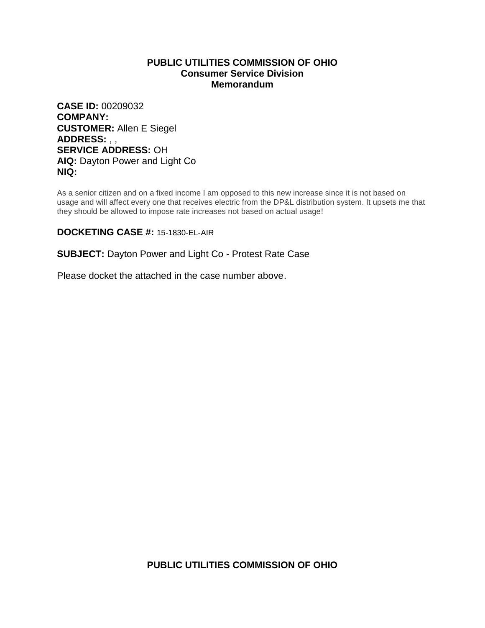**CASE ID:** 00209032 **COMPANY: CUSTOMER:** Allen E Siegel **ADDRESS:** , , **SERVICE ADDRESS:** OH **AIQ:** Dayton Power and Light Co **NIQ:**

As a senior citizen and on a fixed income I am opposed to this new increase since it is not based on usage and will affect every one that receives electric from the DP&L distribution system. It upsets me that they should be allowed to impose rate increases not based on actual usage!

# **DOCKETING CASE #:** 15-1830-EL-AIR

# **SUBJECT:** Dayton Power and Light Co - Protest Rate Case

Please docket the attached in the case number above.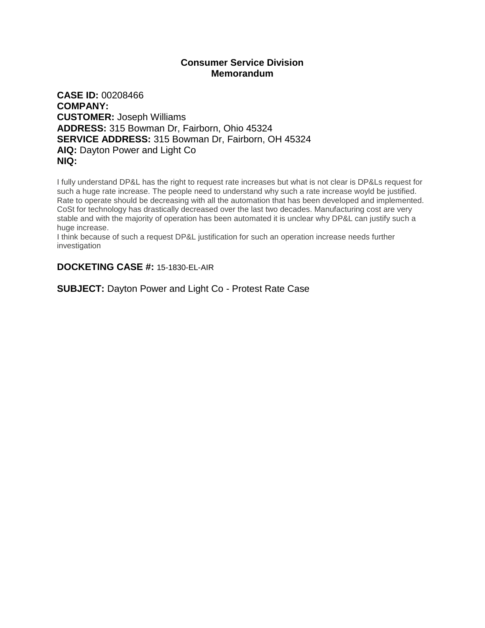# **Consumer Service Division Memorandum**

**CASE ID:** 00208466 **COMPANY: CUSTOMER:** Joseph Williams **ADDRESS:** 315 Bowman Dr, Fairborn, Ohio 45324 **SERVICE ADDRESS:** 315 Bowman Dr, Fairborn, OH 45324 **AIQ:** Dayton Power and Light Co **NIQ:**

I fully understand DP&L has the right to request rate increases but what is not clear is DP&Ls request for such a huge rate increase. The people need to understand why such a rate increase woyld be justified. Rate to operate should be decreasing with all the automation that has been developed and implemented. CoSt for technology has drastically decreased over the last two decades. Manufacturing cost are very stable and with the majority of operation has been automated it is unclear why DP&L can justify such a huge increase.

I think because of such a request DP&L justification for such an operation increase needs further investigation

# **DOCKETING CASE #:** 15-1830-EL-AIR

**SUBJECT:** Dayton Power and Light Co - Protest Rate Case